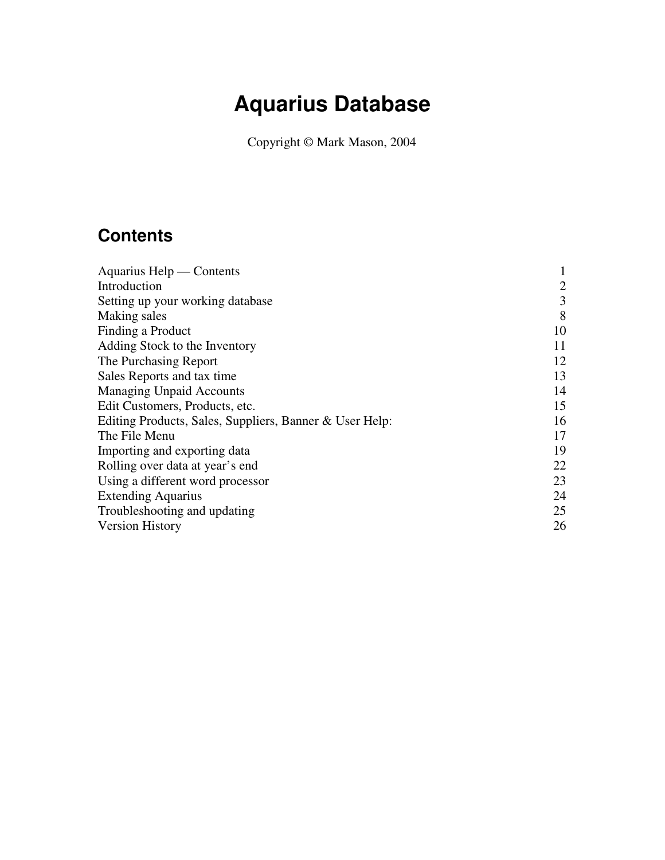# **Aquarius Database**

Copyright © Mark Mason, 2004

# **Contents**

| Aquarius Help — Contents                                |                |
|---------------------------------------------------------|----------------|
| Introduction                                            | $\overline{2}$ |
| Setting up your working database                        | 3              |
| Making sales                                            | 8              |
| Finding a Product                                       | 10             |
| Adding Stock to the Inventory                           | 11             |
| The Purchasing Report                                   | 12             |
| Sales Reports and tax time                              | 13             |
| <b>Managing Unpaid Accounts</b>                         | 14             |
| Edit Customers, Products, etc.                          | 15             |
| Editing Products, Sales, Suppliers, Banner & User Help: | 16             |
| The File Menu                                           | 17             |
| Importing and exporting data                            | 19             |
| Rolling over data at year's end                         | 22             |
| Using a different word processor                        | 23             |
| <b>Extending Aquarius</b>                               | 24             |
| Troubleshooting and updating                            | 25             |
| <b>Version History</b>                                  | 26             |
|                                                         |                |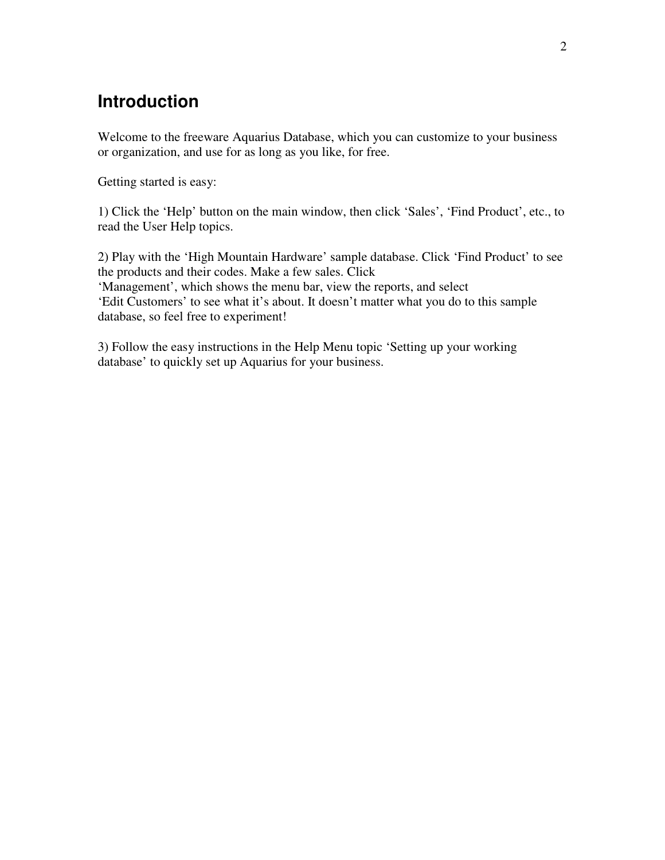### <span id="page-1-0"></span>**Introduction**

Welcome to the freeware Aquarius Database, which you can customize to your business or organization, and use for as long as you like, for free.

Getting started is easy:

1) Click the 'Help' button on the main window, then click 'Sales', 'Find Product', etc., to read the User Help topics.

2) Play with the 'High Mountain Hardware' sample database. Click 'Find Product' to see the products and their codes. Make a few sales. Click 'Management', which shows the menu bar, view the reports, and select 'Edit Customers' to see what it's about. It doesn't matter what you do to this sample database, so feel free to experiment!

3) Follow the easy instructions in the Help Menu topic 'Setting up your working database' to quickly set up Aquarius for your business.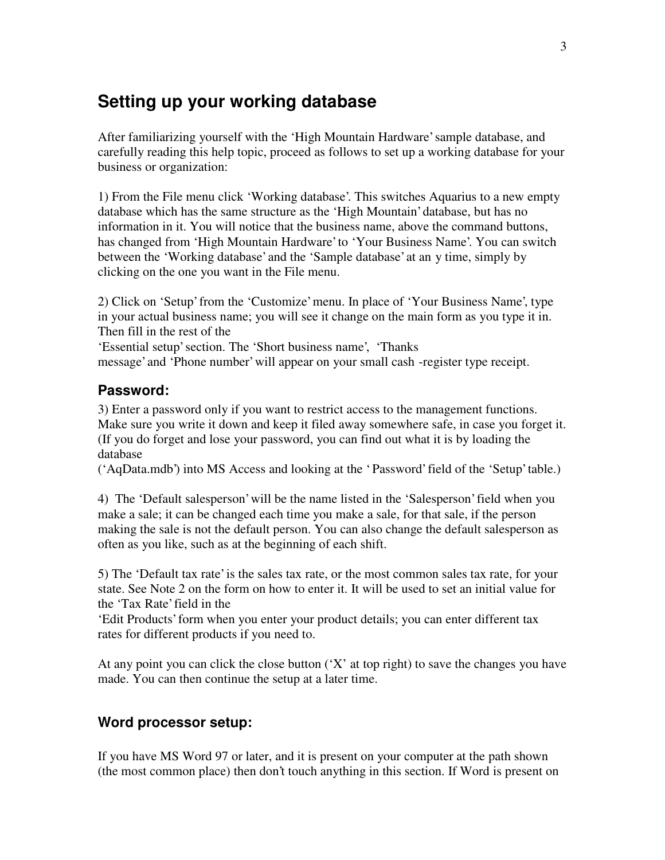### <span id="page-2-0"></span>**Setting up your working database**

After familiarizing yourself with the 'High Mountain Hardware' sample database, and carefully reading this help topic, proceed as follows to set up a working database for your business or organization:

1) From the File menu click 'Working database'. This switches Aquarius to a new empty database which has the same structure as the 'High Mountain' database, but has no information in it. You will notice that the business name, above the command buttons, has changed from 'High Mountain Hardware' to 'Your Business Name'. You can switch between the 'Working database' and the 'Sample database' at an y time, simply by clicking on the one you want in the File menu.

2) Click on 'Setup' from the 'Customize' menu. In place of 'Your Business Name', type in your actual business name; you will see it change on the main form as you type it in. Then fill in the rest of the

'Essential setup' section. The 'Short business name', 'Thanks message' and 'Phone number' will appear on your small cash -register type receipt.

### **Password:**

3) Enter a password only if you want to restrict access to the management functions. Make sure you write it down and keep it filed away somewhere safe, in case you forget it. (If you do forget and lose your password, you can find out what it is by loading the database

('AqData.mdb') into MS Access and looking at the ' Password' field of the 'Setup' table.)

4) The 'Default salesperson' will be the name listed in the 'Salesperson' field when you make a sale; it can be changed each time you make a sale, for that sale, if the person making the sale is not the default person. You can also change the default salesperson as often as you like, such as at the beginning of each shift.

5) The 'Default tax rate' is the sales tax rate, or the most common sales tax rate, for your state. See Note 2 on the form on how to enter it. It will be used to set an initial value for the 'Tax Rate' field in the

'Edit Products' form when you enter your product details; you can enter different tax rates for different products if you need to.

At any point you can click the close button  $(X^{\prime})$  at top right) to save the changes you have made. You can then continue the setup at a later time.

### **Word processor setup:**

If you have MS Word 97 or later, and it is present on your computer at the path shown (the most common place) then don't touch anything in this section. If Word is present on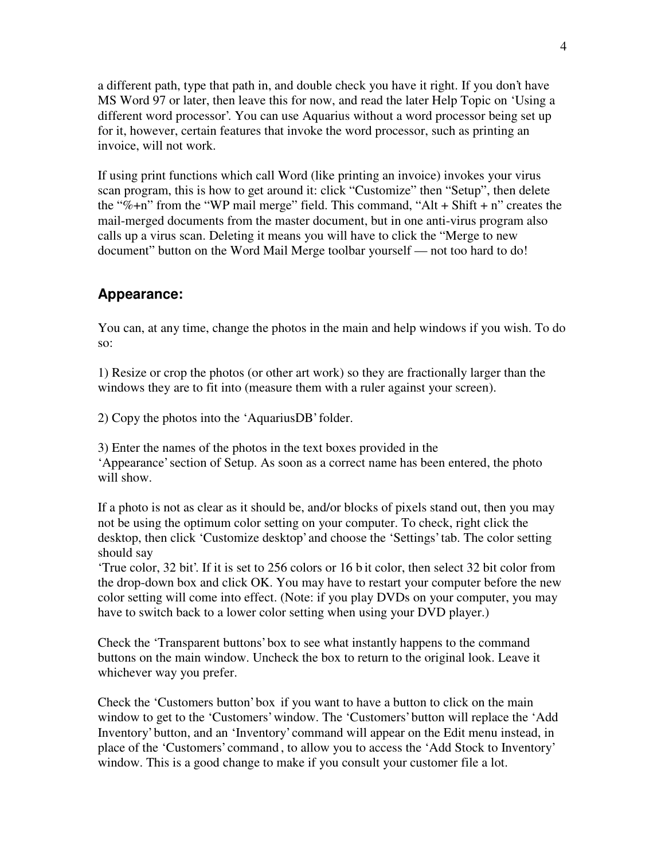a different path, type that path in, and double check you have it right. If you don't have MS Word 97 or later, then leave this for now, and read the later Help Topic on 'Using a different word processor'. You can use Aquarius without a word processor being set up for it, however, certain features that invoke the word processor, such as printing an invoice, will not work.

If using print functions which call Word (like printing an invoice) invokes your virus scan program, this is how to get around it: click "Customize" then "Setup", then delete the "%+n" from the "WP mail merge" field. This command, "Alt + Shift + n" creates the mail-merged documents from the master document, but in one anti-virus program also calls up a virus scan. Deleting it means you will have to click the "Merge to new document" button on the Word Mail Merge toolbar yourself — not too hard to do!

#### **Appearance:**

You can, at any time, change the photos in the main and help windows if you wish. To do so:

1) Resize or crop the photos (or other art work) so they are fractionally larger than the windows they are to fit into (measure them with a ruler against your screen).

2) Copy the photos into the 'AquariusDB' folder.

3) Enter the names of the photos in the text boxes provided in the 'Appearance' section of Setup. As soon as a correct name has been entered, the photo will show.

If a photo is not as clear as it should be, and/or blocks of pixels stand out, then you may not be using the optimum color setting on your computer. To check, right click the desktop, then click 'Customize desktop' and choose the 'Settings' tab. The color setting should say

'True color, 32 bit'. If it is set to 256 colors or 16 b it color, then select 32 bit color from the drop-down box and click OK. You may have to restart your computer before the new color setting will come into effect. (Note: if you play DVDs on your computer, you may have to switch back to a lower color setting when using your DVD player.)

Check the 'Transparent buttons' box to see what instantly happens to the command buttons on the main window. Uncheck the box to return to the original look. Leave it whichever way you prefer.

Check the 'Customers button' box if you want to have a button to click on the main window to get to the 'Customers' window. The 'Customers' button will replace the 'Add Inventory' button, and an 'Inventory' command will appear on the Edit menu instead, in place of the 'Customers' command , to allow you to access the 'Add Stock to Inventory' window. This is a good change to make if you consult your customer file a lot.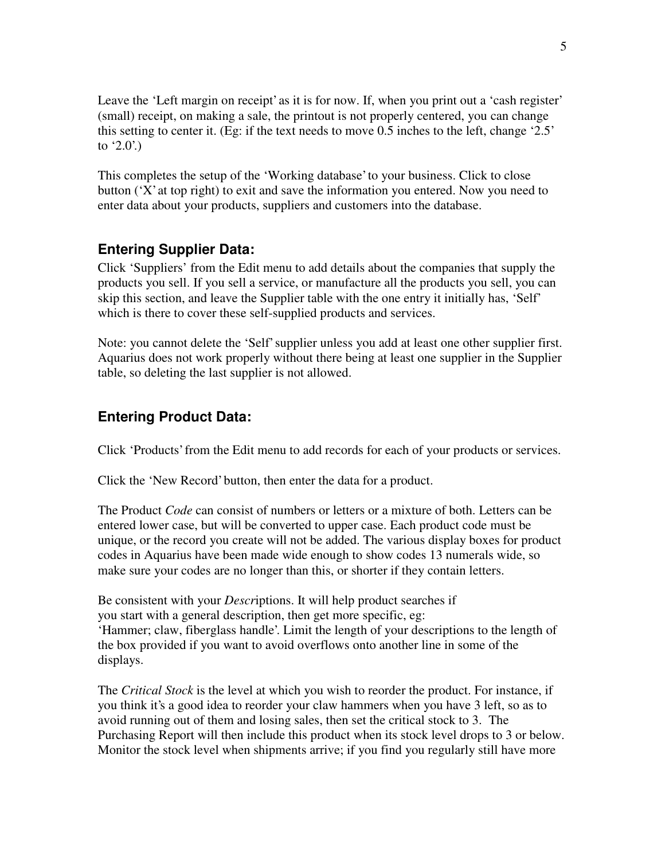Leave the 'Left margin on receipt' as it is for now. If, when you print out a 'cash register' (small) receipt, on making a sale, the printout is not properly centered, you can change this setting to center it. (Eg: if the text needs to move 0.5 inches to the left, change '2.5' to '2.0'.)

This completes the setup of the 'Working database' to your business. Click to close button ('X' at top right) to exit and save the information you entered. Now you need to enter data about your products, suppliers and customers into the database.

### **Entering Supplier Data:**

Click 'Suppliers' from the Edit menu to add details about the companies that supply the products you sell. If you sell a service, or manufacture all the products you sell, you can skip this section, and leave the Supplier table with the one entry it initially has, 'Self' which is there to cover these self-supplied products and services.

Note: you cannot delete the 'Self' supplier unless you add at least one other supplier first. Aquarius does not work properly without there being at least one supplier in the Supplier table, so deleting the last supplier is not allowed.

### **Entering Product Data:**

Click 'Products' from the Edit menu to add records for each of your products or services.

Click the 'New Record' button, then enter the data for a product.

The Product *Code* can consist of numbers or letters or a mixture of both. Letters can be entered lower case, but will be converted to upper case. Each product code must be unique, or the record you create will not be added. The various display boxes for product codes in Aquarius have been made wide enough to show codes 13 numerals wide, so make sure your codes are no longer than this, or shorter if they contain letters.

Be consistent with your *Descr*iptions. It will help product searches if you start with a general description, then get more specific, eg: 'Hammer; claw, fiberglass handle'. Limit the length of your descriptions to the length of the box provided if you want to avoid overflows onto another line in some of the displays.

The *Critical Stock* is the level at which you wish to reorder the product. For instance, if you think it's a good idea to reorder your claw hammers when you have 3 left, so as to avoid running out of them and losing sales, then set the critical stock to 3. The Purchasing Report will then include this product when its stock level drops to 3 or below. Monitor the stock level when shipments arrive; if you find you regularly still have more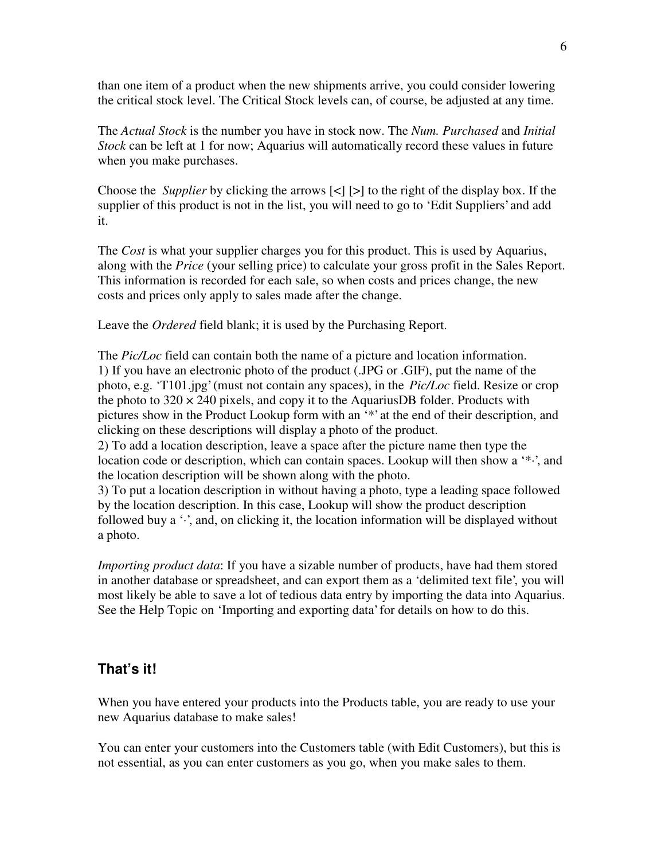than one item of a product when the new shipments arrive, you could consider lowering the critical stock level. The Critical Stock levels can, of course, be adjusted at any time.

The *Actual Stock* is the number you have in stock now. The *Num. Purchased* and *Initial Stock* can be left at 1 for now; Aquarius will automatically record these values in future when you make purchases.

Choose the *Supplier* by clicking the arrows [<] [>] to the right of the display box. If the supplier of this product is not in the list, you will need to go to 'Edit Suppliers' and add it.

The *Cost* is what your supplier charges you for this product. This is used by Aquarius, along with the *Price* (your selling price) to calculate your gross profit in the Sales Report. This information is recorded for each sale, so when costs and prices change, the new costs and prices only apply to sales made after the change.

Leave the *Ordered* field blank; it is used by the Purchasing Report.

The *Pic/Loc* field can contain both the name of a picture and location information. 1) If you have an electronic photo of the product (.JPG or .GIF), put the name of the photo, e.g. 'T101.jpg' (must not contain any spaces), in the *Pic/Loc* field. Resize or crop the photo to  $320 \times 240$  pixels, and copy it to the AquariusDB folder. Products with pictures show in the Product Lookup form with an '\*' at the end of their description, and clicking on these descriptions will display a photo of the product.

2) To add a location description, leave a space after the picture name then type the location code or description, which can contain spaces. Lookup will then show a '\*-', and the location description will be shown along with the photo.

3) To put a location description in without having a photo, type a leading space followed by the location description. In this case, Lookup will show the product description followed buy a  $\cdot$ , and, on clicking it, the location information will be displayed without a photo.

*Importing product data*: If you have a sizable number of products, have had them stored in another database or spreadsheet, and can export them as a 'delimited text file', you will most likely be able to save a lot of tedious data entry by importing the data into Aquarius. See the Help Topic on 'Importing and exporting data' for details on how to do this.

### **That's it!**

When you have entered your products into the Products table, you are ready to use your new Aquarius database to make sales!

You can enter your customers into the Customers table (with Edit Customers), but this is not essential, as you can enter customers as you go, when you make sales to them.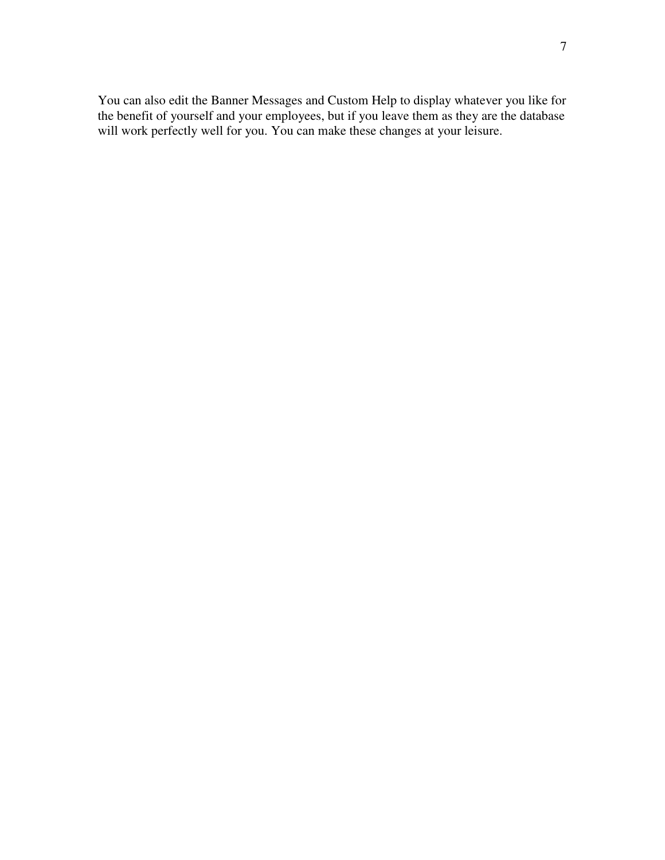You can also edit the Banner Messages and Custom Help to display whatever you like for the benefit of yourself and your employees, but if you leave them as they are the database will work perfectly well for you. You can make these changes at your leisure.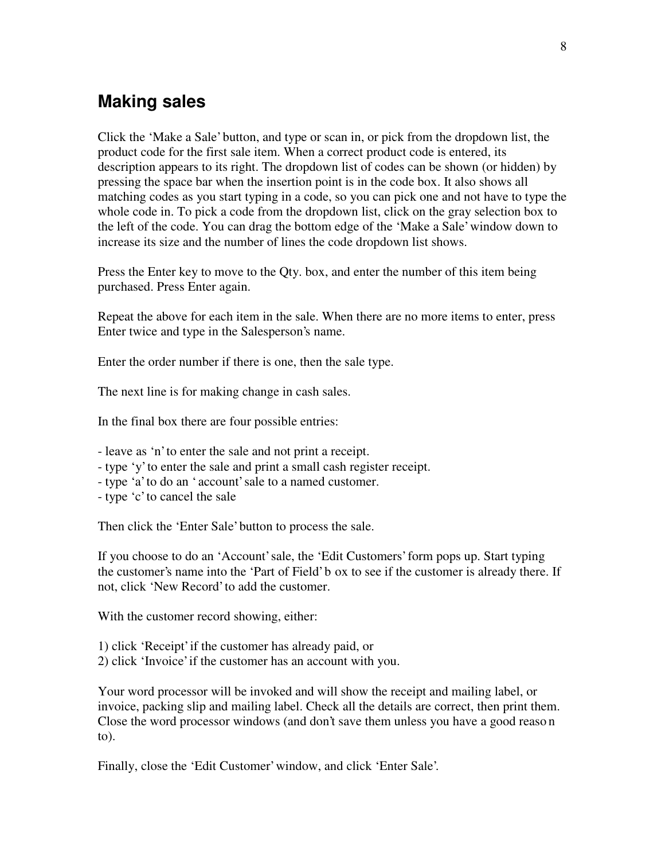### <span id="page-7-0"></span>**Making sales**

Click the 'Make a Sale' button, and type or scan in, or pick from the dropdown list, the product code for the first sale item. When a correct product code is entered, its description appears to its right. The dropdown list of codes can be shown (or hidden) by pressing the space bar when the insertion point is in the code box. It also shows all matching codes as you start typing in a code, so you can pick one and not have to type the whole code in. To pick a code from the dropdown list, click on the gray selection box to the left of the code. You can drag the bottom edge of the 'Make a Sale' window down to increase its size and the number of lines the code dropdown list shows.

Press the Enter key to move to the Qty. box, and enter the number of this item being purchased. Press Enter again.

Repeat the above for each item in the sale. When there are no more items to enter, press Enter twice and type in the Salesperson's name.

Enter the order number if there is one, then the sale type.

The next line is for making change in cash sales.

In the final box there are four possible entries:

- leave as 'n' to enter the sale and not print a receipt.
- type 'y' to enter the sale and print a small cash register receipt.
- type 'a' to do an ' account' sale to a named customer.
- type 'c' to cancel the sale

Then click the 'Enter Sale' button to process the sale.

If you choose to do an 'Account' sale, the 'Edit Customers' form pops up. Start typing the customer's name into the 'Part of Field' b ox to see if the customer is already there. If not, click 'New Record' to add the customer.

With the customer record showing, either:

- 1) click 'Receipt' if the customer has already paid, or
- 2) click 'Invoice' if the customer has an account with you.

Your word processor will be invoked and will show the receipt and mailing label, or invoice, packing slip and mailing label. Check all the details are correct, then print them. Close the word processor windows (and don't save them unless you have a good reaso n to).

Finally, close the 'Edit Customer' window, and click 'Enter Sale'.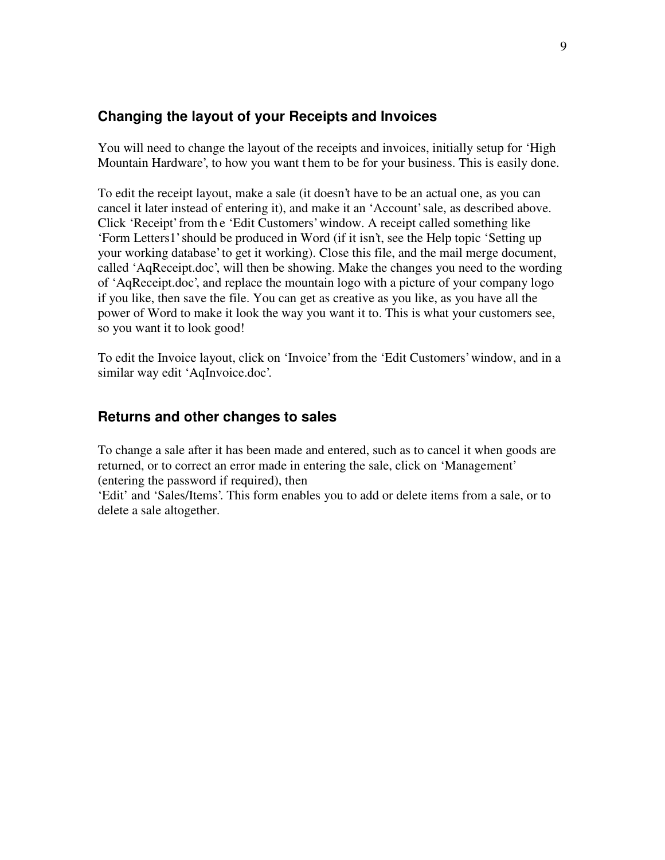### **Changing the layout of your Receipts and Invoices**

You will need to change the layout of the receipts and invoices, initially setup for 'High Mountain Hardware', to how you want t hem to be for your business. This is easily done.

To edit the receipt layout, make a sale (it doesn't have to be an actual one, as you can cancel it later instead of entering it), and make it an 'Account' sale, as described above. Click 'Receipt' from th e 'Edit Customers' window. A receipt called something like 'Form Letters1' should be produced in Word (if it isn't, see the Help topic 'Setting up your working database' to get it working). Close this file, and the mail merge document, called 'AqReceipt.doc', will then be showing. Make the changes you need to the wording of 'AqReceipt.doc', and replace the mountain logo with a picture of your company logo if you like, then save the file. You can get as creative as you like, as you have all the power of Word to make it look the way you want it to. This is what your customers see, so you want it to look good!

To edit the Invoice layout, click on 'Invoice' from the 'Edit Customers' window, and in a similar way edit 'AqInvoice.doc'.

### **Returns and other changes to sales**

To change a sale after it has been made and entered, such as to cancel it when goods are returned, or to correct an error made in entering the sale, click on 'Management' (entering the password if required), then

'Edit' and 'Sales/Items'. This form enables you to add or delete items from a sale, or to delete a sale altogether.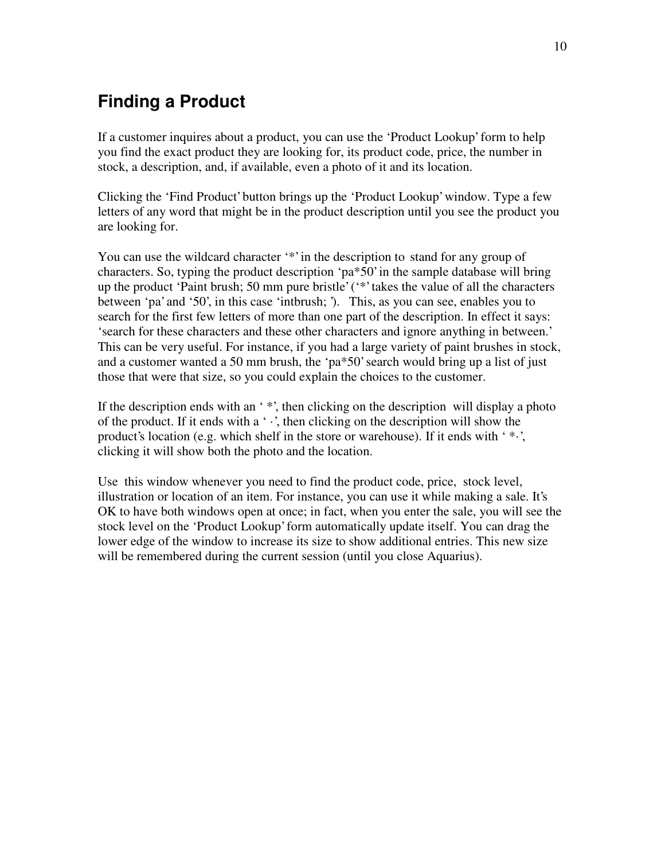# <span id="page-9-0"></span>**Finding a Product**

If a customer inquires about a product, you can use the 'Product Lookup' form to help you find the exact product they are looking for, its product code, price, the number in stock, a description, and, if available, even a photo of it and its location.

Clicking the 'Find Product' button brings up the 'Product Lookup' window. Type a few letters of any word that might be in the product description until you see the product you are looking for.

You can use the wildcard character '\*' in the description to stand for any group of characters. So, typing the product description 'pa\*50' in the sample database will bring up the product 'Paint brush; 50 mm pure bristle' ('\*' takes the value of all the characters between 'pa' and '50', in this case 'intbrush; '). This, as you can see, enables you to search for the first few letters of more than one part of the description. In effect it says: 'search for these characters and these other characters and ignore anything in between.' This can be very useful. For instance, if you had a large variety of paint brushes in stock, and a customer wanted a 50 mm brush, the 'pa\*50' search would bring up a list of just those that were that size, so you could explain the choices to the customer.

If the description ends with an '\*', then clicking on the description will display a photo of the product. If it ends with a  $\cdot \cdot$ , then clicking on the description will show the product's location (e.g. which shelf in the store or warehouse). If it ends with ' $\cdot\cdot\cdot$ '. clicking it will show both the photo and the location.

Use this window whenever you need to find the product code, price, stock level, illustration or location of an item. For instance, you can use it while making a sale. It's OK to have both windows open at once; in fact, when you enter the sale, you will see the stock level on the 'Product Lookup' form automatically update itself. You can drag the lower edge of the window to increase its size to show additional entries. This new size will be remembered during the current session (until you close Aquarius).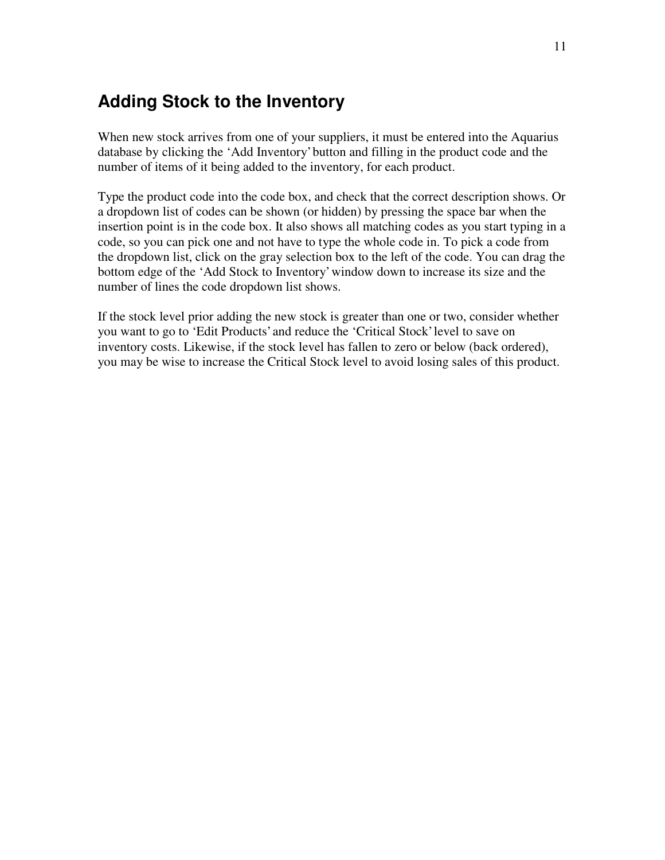### <span id="page-10-0"></span>**Adding Stock to the Inventory**

When new stock arrives from one of your suppliers, it must be entered into the Aquarius database by clicking the 'Add Inventory' button and filling in the product code and the number of items of it being added to the inventory, for each product.

Type the product code into the code box, and check that the correct description shows. Or a dropdown list of codes can be shown (or hidden) by pressing the space bar when the insertion point is in the code box. It also shows all matching codes as you start typing in a code, so you can pick one and not have to type the whole code in. To pick a code from the dropdown list, click on the gray selection box to the left of the code. You can drag the bottom edge of the 'Add Stock to Inventory' window down to increase its size and the number of lines the code dropdown list shows.

If the stock level prior adding the new stock is greater than one or two, consider whether you want to go to 'Edit Products' and reduce the 'Critical Stock' level to save on inventory costs. Likewise, if the stock level has fallen to zero or below (back ordered), you may be wise to increase the Critical Stock level to avoid losing sales of this product.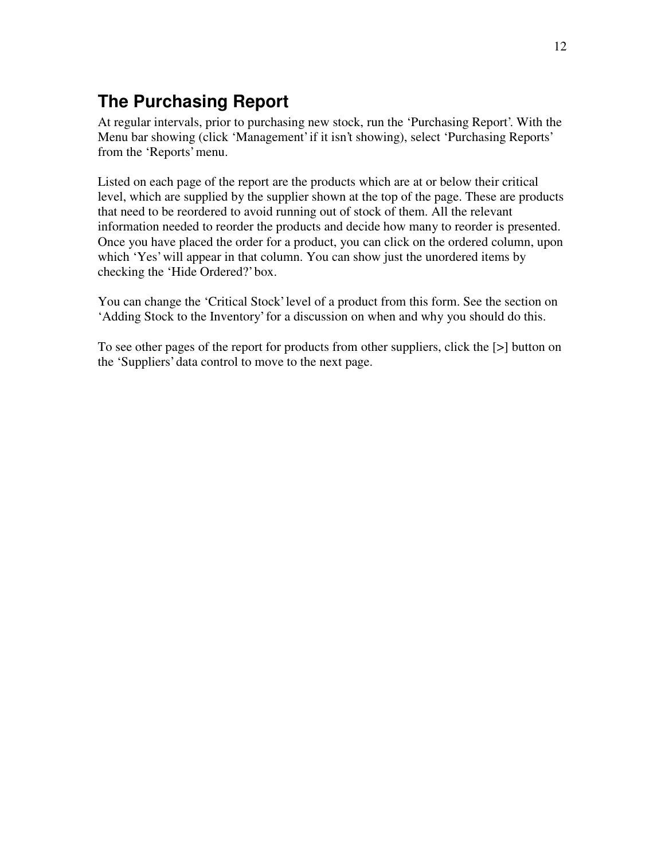# <span id="page-11-0"></span>**The Purchasing Report**

At regular intervals, prior to purchasing new stock, run the 'Purchasing Report'. With the Menu bar showing (click 'Management' if it isn't showing), select 'Purchasing Reports' from the 'Reports' menu.

Listed on each page of the report are the products which are at or below their critical level, which are supplied by the supplier shown at the top of the page. These are products that need to be reordered to avoid running out of stock of them. All the relevant information needed to reorder the products and decide how many to reorder is presented. Once you have placed the order for a product, you can click on the ordered column, upon which 'Yes' will appear in that column. You can show just the unordered items by checking the 'Hide Ordered?' box.

You can change the 'Critical Stock' level of a product from this form. See the section on 'Adding Stock to the Inventory' for a discussion on when and why you should do this.

To see other pages of the report for products from other suppliers, click the [>] button on the 'Suppliers' data control to move to the next page.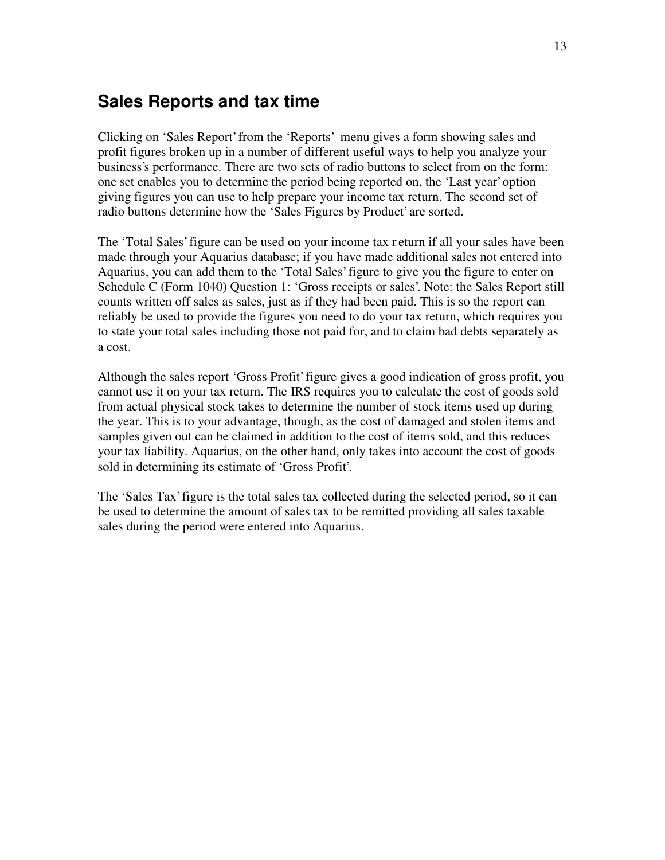### <span id="page-12-0"></span>**Sales Reports and tax time**

Clicking on 'Sales Report' from the 'Reports' menu gives a form showing sales and profit figures broken up in a number of different useful ways to help you analyze your business's performance. There are two sets of radio buttons to select from on the form: one set enables you to determine the period being reported on, the 'Last year' option giving figures you can use to help prepare your income tax return. The second set of radio buttons determine how the 'Sales Figures by Product' are sorted.

The 'Total Sales' figure can be used on your income tax r eturn if all your sales have been made through your Aquarius database; if you have made additional sales not entered into Aquarius, you can add them to the 'Total Sales' figure to give you the figure to enter on Schedule C (Form 1040) Question 1: 'Gross receipts or sales'. Note: the Sales Report still counts written off sales as sales, just as if they had been paid. This is so the report can reliably be used to provide the figures you need to do your tax return, which requires you to state your total sales including those not paid for, and to claim bad debts separately as a cost.

Although the sales report 'Gross Profit' figure gives a good indication of gross profit, you cannot use it on your tax return. The IRS requires you to calculate the cost of goods sold from actual physical stock takes to determine the number of stock items used up during the year. This is to your advantage, though, as the cost of damaged and stolen items and samples given out can be claimed in addition to the cost of items sold, and this reduces your tax liability. Aquarius, on the other hand, only takes into account the cost of goods sold in determining its estimate of 'Gross Profit'.

The 'Sales Tax' figure is the total sales tax collected during the selected period, so it can be used to determine the amount of sales tax to be remitted providing all sales taxable sales during the period were entered into Aquarius.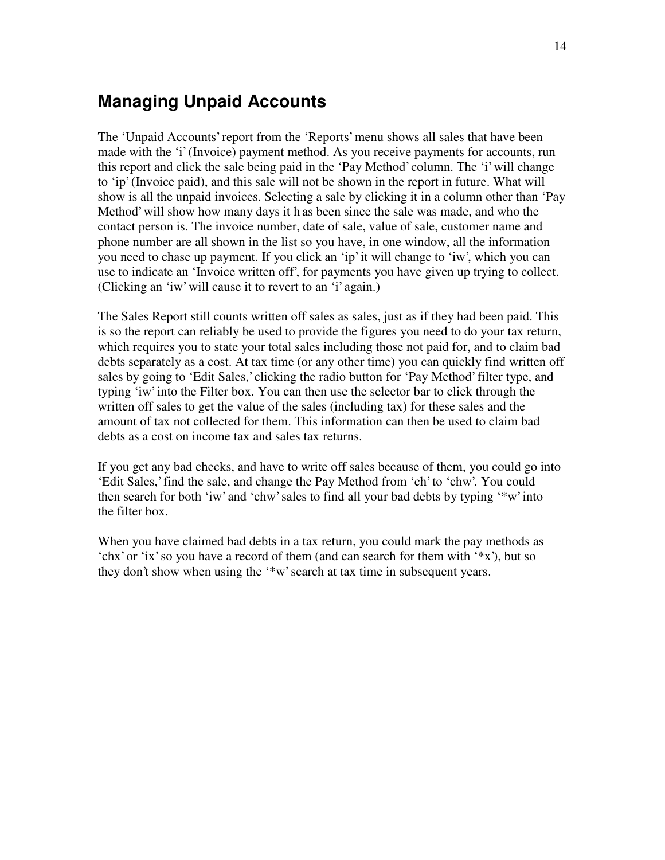### <span id="page-13-0"></span>**Managing Unpaid Accounts**

The 'Unpaid Accounts' report from the 'Reports' menu shows all sales that have been made with the 'i' (Invoice) payment method. As you receive payments for accounts, run this report and click the sale being paid in the 'Pay Method' column. The 'i' will change to 'ip' (Invoice paid), and this sale will not be shown in the report in future. What will show is all the unpaid invoices. Selecting a sale by clicking it in a column other than 'Pay Method' will show how many days it h as been since the sale was made, and who the contact person is. The invoice number, date of sale, value of sale, customer name and phone number are all shown in the list so you have, in one window, all the information you need to chase up payment. If you click an 'ip' it will change to 'iw', which you can use to indicate an 'Invoice written off', for payments you have given up trying to collect. (Clicking an 'iw' will cause it to revert to an 'i' again.)

The Sales Report still counts written off sales as sales, just as if they had been paid. This is so the report can reliably be used to provide the figures you need to do your tax return, which requires you to state your total sales including those not paid for, and to claim bad debts separately as a cost. At tax time (or any other time) you can quickly find written off sales by going to 'Edit Sales,' clicking the radio button for 'Pay Method' filter type, and typing 'iw' into the Filter box. You can then use the selector bar to click through the written off sales to get the value of the sales (including tax) for these sales and the amount of tax not collected for them. This information can then be used to claim bad debts as a cost on income tax and sales tax returns.

If you get any bad checks, and have to write off sales because of them, you could go into 'Edit Sales,' find the sale, and change the Pay Method from 'ch' to 'chw'. You could then search for both 'iw' and 'chw' sales to find all your bad debts by typing '\*w' into the filter box.

When you have claimed bad debts in a tax return, you could mark the pay methods as 'chx' or 'ix' so you have a record of them (and can search for them with '\*x'), but so they don't show when using the '\*w' search at tax time in subsequent years.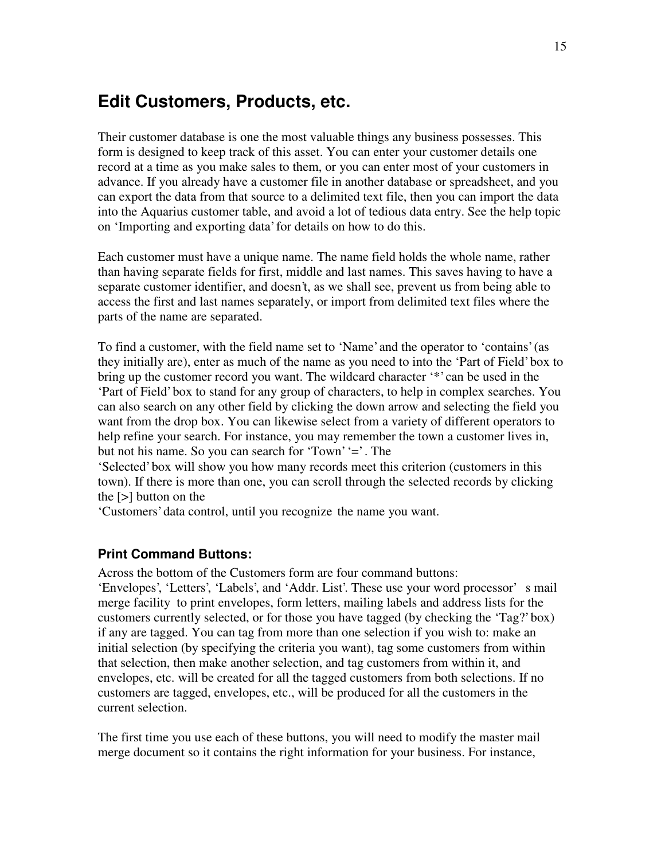### <span id="page-14-0"></span>**Edit Customers, Products, etc.**

Their customer database is one the most valuable things any business possesses. This form is designed to keep track of this asset. You can enter your customer details one record at a time as you make sales to them, or you can enter most of your customers in advance. If you already have a customer file in another database or spreadsheet, and you can export the data from that source to a delimited text file, then you can import the data into the Aquarius customer table, and avoid a lot of tedious data entry. See the help topic on 'Importing and exporting data' for details on how to do this.

Each customer must have a unique name. The name field holds the whole name, rather than having separate fields for first, middle and last names. This saves having to have a separate customer identifier, and doesn't, as we shall see, prevent us from being able to access the first and last names separately, or import from delimited text files where the parts of the name are separated.

To find a customer, with the field name set to 'Name' and the operator to 'contains' (as they initially are), enter as much of the name as you need to into the 'Part of Field' box to bring up the customer record you want. The wildcard character '\*' can be used in the 'Part of Field' box to stand for any group of characters, to help in complex searches. You can also search on any other field by clicking the down arrow and selecting the field you want from the drop box. You can likewise select from a variety of different operators to help refine your search. For instance, you may remember the town a customer lives in, but not his name. So you can search for 'Town' '=' . The

'Selected' box will show you how many records meet this criterion (customers in this town). If there is more than one, you can scroll through the selected records by clicking the [>] button on the

'Customers' data control, until you recognize the name you want.

#### **Print Command Buttons:**

Across the bottom of the Customers form are four command buttons: 'Envelopes', 'Letters', 'Labels', and 'Addr. List'. These use your word processor' s mail merge facility to print envelopes, form letters, mailing labels and address lists for the customers currently selected, or for those you have tagged (by checking the 'Tag?' box) if any are tagged. You can tag from more than one selection if you wish to: make an initial selection (by specifying the criteria you want), tag some customers from within that selection, then make another selection, and tag customers from within it, and envelopes, etc. will be created for all the tagged customers from both selections. If no customers are tagged, envelopes, etc., will be produced for all the customers in the current selection.

The first time you use each of these buttons, you will need to modify the master mail merge document so it contains the right information for your business. For instance,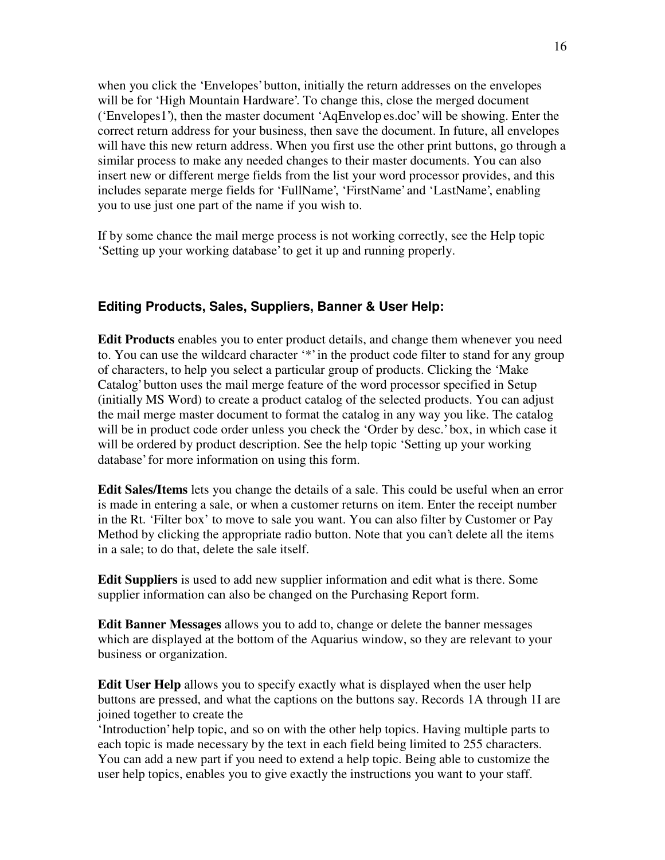<span id="page-15-0"></span>when you click the 'Envelopes' button, initially the return addresses on the envelopes will be for 'High Mountain Hardware'. To change this, close the merged document ('Envelopes1'), then the master document 'AqEnvelop es.doc' will be showing. Enter the correct return address for your business, then save the document. In future, all envelopes will have this new return address. When you first use the other print buttons, go through a similar process to make any needed changes to their master documents. You can also insert new or different merge fields from the list your word processor provides, and this includes separate merge fields for 'FullName', 'FirstName' and 'LastName', enabling you to use just one part of the name if you wish to.

If by some chance the mail merge process is not working correctly, see the Help topic 'Setting up your working database' to get it up and running properly.

### **Editing Products, Sales, Suppliers, Banner & User Help:**

**Edit Products** enables you to enter product details, and change them whenever you need to. You can use the wildcard character '\*' in the product code filter to stand for any group of characters, to help you select a particular group of products. Clicking the 'Make Catalog' button uses the mail merge feature of the word processor specified in Setup (initially MS Word) to create a product catalog of the selected products. You can adjust the mail merge master document to format the catalog in any way you like. The catalog will be in product code order unless you check the 'Order by desc.' box, in which case it will be ordered by product description. See the help topic 'Setting up your working database' for more information on using this form.

**Edit Sales/Items** lets you change the details of a sale. This could be useful when an error is made in entering a sale, or when a customer returns on item. Enter the receipt number in the Rt. 'Filter box' to move to sale you want. You can also filter by Customer or Pay Method by clicking the appropriate radio button. Note that you can't delete all the items in a sale; to do that, delete the sale itself.

**Edit Suppliers** is used to add new supplier information and edit what is there. Some supplier information can also be changed on the Purchasing Report form.

**Edit Banner Messages** allows you to add to, change or delete the banner messages which are displayed at the bottom of the Aquarius window, so they are relevant to your business or organization.

**Edit User Help** allows you to specify exactly what is displayed when the user help buttons are pressed, and what the captions on the buttons say. Records 1A through 1I are joined together to create the

'Introduction' help topic, and so on with the other help topics. Having multiple parts to each topic is made necessary by the text in each field being limited to 255 characters. You can add a new part if you need to extend a help topic. Being able to customize the user help topics, enables you to give exactly the instructions you want to your staff.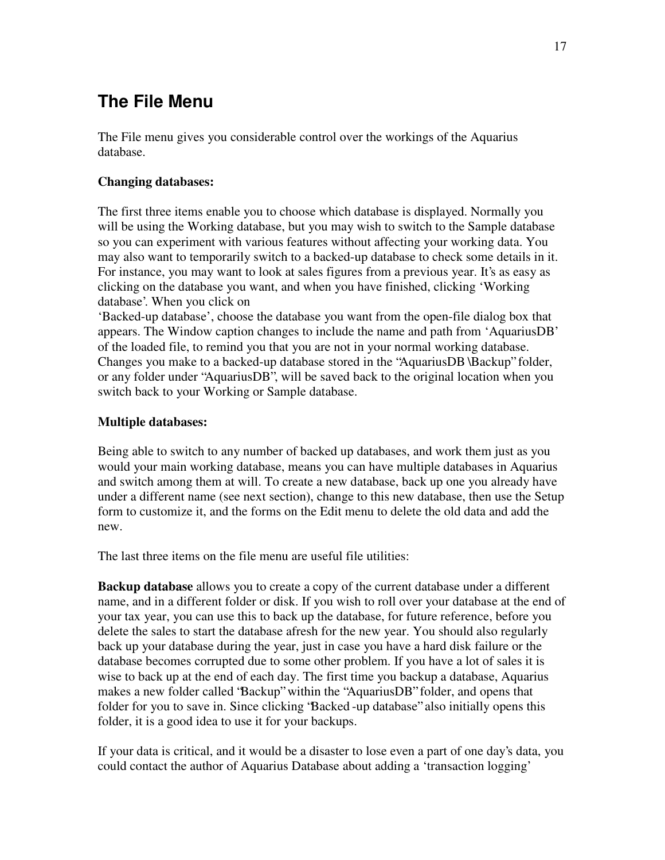# <span id="page-16-0"></span>**The File Menu**

The File menu gives you considerable control over the workings of the Aquarius database.

#### **Changing databases:**

The first three items enable you to choose which database is displayed. Normally you will be using the Working database, but you may wish to switch to the Sample database so you can experiment with various features without affecting your working data. You may also want to temporarily switch to a backed-up database to check some details in it. For instance, you may want to look at sales figures from a previous year. It's as easy as clicking on the database you want, and when you have finished, clicking 'Working database'. When you click on

'Backed-up database' , choose the database you want from the open-file dialog box that appears. The Window caption changes to include the name and path from 'AquariusDB' of the loaded file, to remind you that you are not in your normal working database. Changes you make to a backed-up database stored in the "AquariusDB \Backup" folder, or any folder under "AquariusDB", will be saved back to the original location when you switch back to your Working or Sample database.

#### **Multiple databases:**

Being able to switch to any number of backed up databases, and work them just as you would your main working database, means you can have multiple databases in Aquarius and switch among them at will. To create a new database, back up one you already have under a different name (see next section), change to this new database, then use the Setup form to customize it, and the forms on the Edit menu to delete the old data and add the new.

The last three items on the file menu are useful file utilities:

**Backup database** allows you to create a copy of the current database under a different name, and in a different folder or disk. If you wish to roll over your database at the end of your tax year, you can use this to back up the database, for future reference, before you delete the sales to start the database afresh for the new year. You should also regularly back up your database during the year, just in case you have a hard disk failure or the database becomes corrupted due to some other problem. If you have a lot of sales it is wise to back up at the end of each day. The first time you backup a database, Aquarius makes a new folder called "Backup" within the "AquariusDB" folder, and opens that folder for you to save in. Since clicking "Backed -up database" also initially opens this folder, it is a good idea to use it for your backups.

If your data is critical, and it would be a disaster to lose even a part of one day's data, you could contact the author of Aquarius Database about adding a 'transaction logging'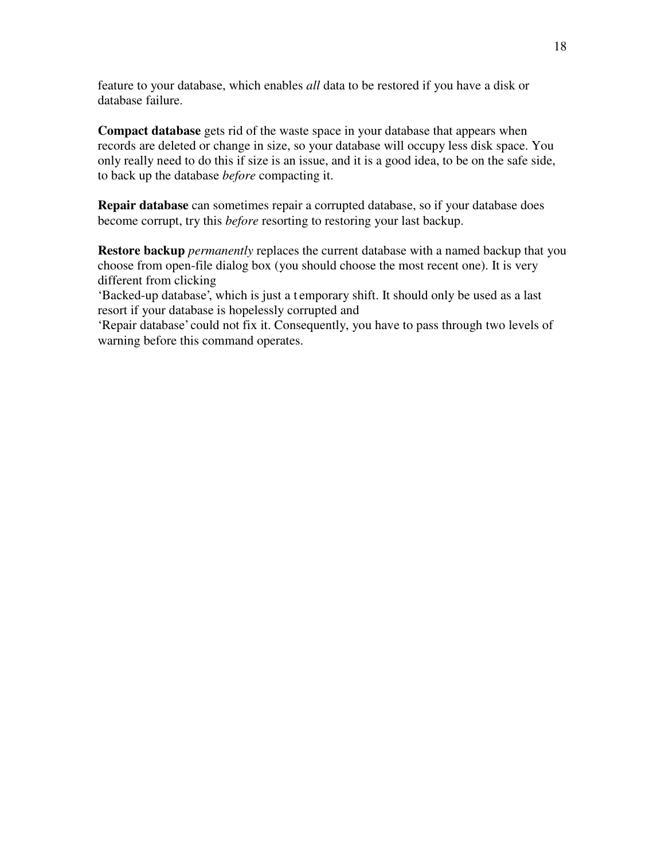feature to your database, which enables *all* data to be restored if you have a disk or database failure.

**Compact database** gets rid of the waste space in your database that appears when records are deleted or change in size, so your database will occupy less disk space. You only really need to do this if size is an issue, and it is a good idea, to be on the safe side, to back up the database *before* compacting it.

**Repair database** can sometimes repair a corrupted database, so if your database does become corrupt, try this *before* resorting to restoring your last backup.

**Restore backup** *permanently* replaces the current database with a named backup that you choose from open-file dialog box (you should choose the most recent one). It is very different from clicking

'Backed-up database', which is just a t emporary shift. It should only be used as a last resort if your database is hopelessly corrupted and

'Repair database' could not fix it. Consequently, you have to pass through two levels of warning before this command operates.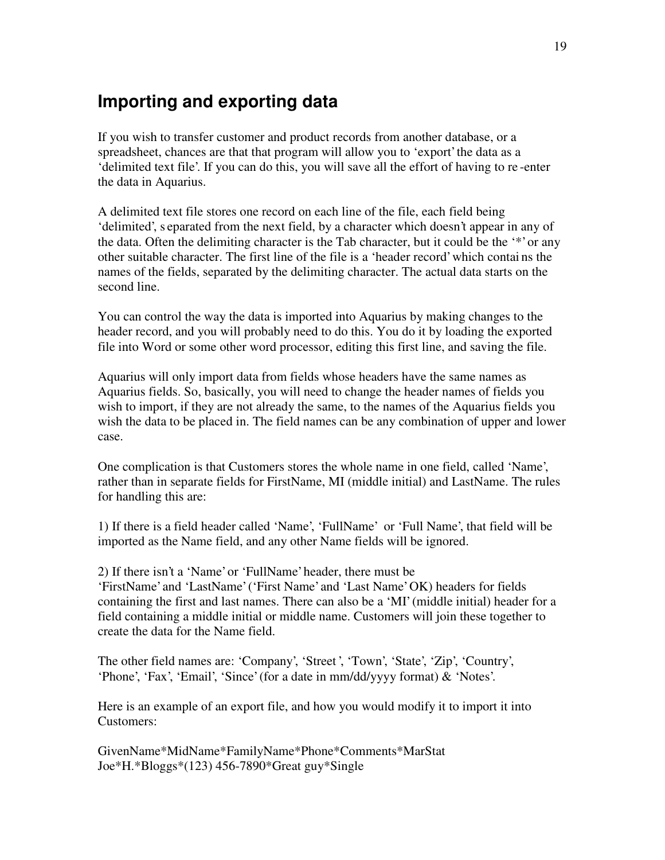### <span id="page-18-0"></span>**Importing and exporting data**

If you wish to transfer customer and product records from another database, or a spreadsheet, chances are that that program will allow you to 'export' the data as a 'delimited text file'. If you can do this, you will save all the effort of having to re -enter the data in Aquarius.

A delimited text file stores one record on each line of the file, each field being 'delimited', s eparated from the next field, by a character which doesn't appear in any of the data. Often the delimiting character is the Tab character, but it could be the '\*' or any other suitable character. The first line of the file is a 'header record' which contai ns the names of the fields, separated by the delimiting character. The actual data starts on the second line.

You can control the way the data is imported into Aquarius by making changes to the header record, and you will probably need to do this. You do it by loading the exported file into Word or some other word processor, editing this first line, and saving the file.

Aquarius will only import data from fields whose headers have the same names as Aquarius fields. So, basically, you will need to change the header names of fields you wish to import, if they are not already the same, to the names of the Aquarius fields you wish the data to be placed in. The field names can be any combination of upper and lower case.

One complication is that Customers stores the whole name in one field, called 'Name', rather than in separate fields for FirstName, MI (middle initial) and LastName. The rules for handling this are:

1) If there is a field header called 'Name', 'FullName' or 'Full Name', that field will be imported as the Name field, and any other Name fields will be ignored.

2) If there isn't a 'Name' or 'FullName' header, there must be

'FirstName' and 'LastName' ('First Name' and 'Last Name' OK) headers for fields containing the first and last names. There can also be a 'MI' (middle initial) header for a field containing a middle initial or middle name. Customers will join these together to create the data for the Name field.

The other field names are: 'Company', 'Street ', 'Town', 'State', 'Zip', 'Country', 'Phone', 'Fax', 'Email', 'Since' (for a date in mm/dd/yyyy format) & 'Notes'.

Here is an example of an export file, and how you would modify it to import it into Customers:

GivenName\*MidName\*FamilyName\*Phone\*Comments\*MarStat Joe\*H.\*Bloggs\*(123) 456-7890\*Great guy\*Single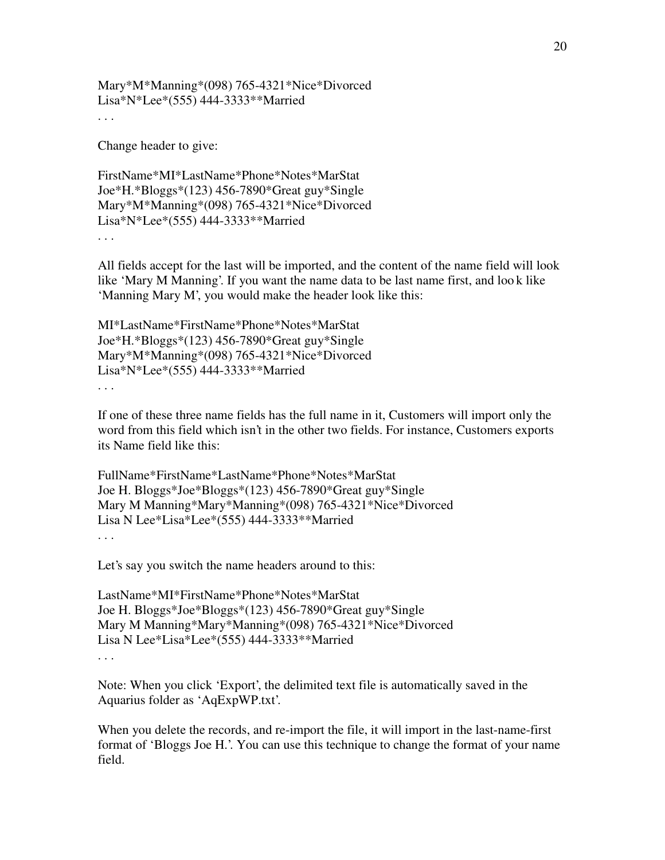Mary\*M\*Manning\*(098) 765-4321\*Nice\*Divorced Lisa\*N\*Lee\*(555) 444-3333\*\*Married . . .

Change header to give:

FirstName\*MI\*LastName\*Phone\*Notes\*MarStat Joe\*H.\*Bloggs\*(123) 456-7890\*Great guy\*Single Mary\*M\*Manning\*(098) 765-4321\*Nice\*Divorced Lisa\*N\*Lee\*(555) 444-3333\*\*Married . . .

All fields accept for the last will be imported, and the content of the name field will look like 'Mary M Manning'. If you want the name data to be last name first, and loo k like 'Manning Mary M', you would make the header look like this:

MI\*LastName\*FirstName\*Phone\*Notes\*MarStat Joe\*H.\*Bloggs\*(123) 456-7890\*Great guy\*Single Mary\*M\*Manning\*(098) 765-4321\*Nice\*Divorced Lisa\*N\*Lee\*(555) 444-3333\*\*Married . . .

If one of these three name fields has the full name in it, Customers will import only the word from this field which isn't in the other two fields. For instance, Customers exports its Name field like this:

```
FullName*FirstName*LastName*Phone*Notes*MarStat
Joe H. Bloggs*Joe*Bloggs*(123) 456-7890*Great guy*Single
Mary M Manning*Mary*Manning*(098) 765-4321*Nice*Divorced
Lisa N Lee*Lisa*Lee*(555) 444-3333**Married
. . .
```
Let's say you switch the name headers around to this:

```
LastName*MI*FirstName*Phone*Notes*MarStat
Joe H. Bloggs*Joe*Bloggs*(123) 456-7890*Great guy*Single
Mary M Manning*Mary*Manning*(098) 765-4321*Nice*Divorced
Lisa N Lee*Lisa*Lee*(555) 444-3333**Married
. . .
```
Note: When you click 'Export', the delimited text file is automatically saved in the Aquarius folder as 'AqExpWP.txt'.

When you delete the records, and re-import the file, it will import in the last-name-first format of 'Bloggs Joe H.'. You can use this technique to change the format of your name field.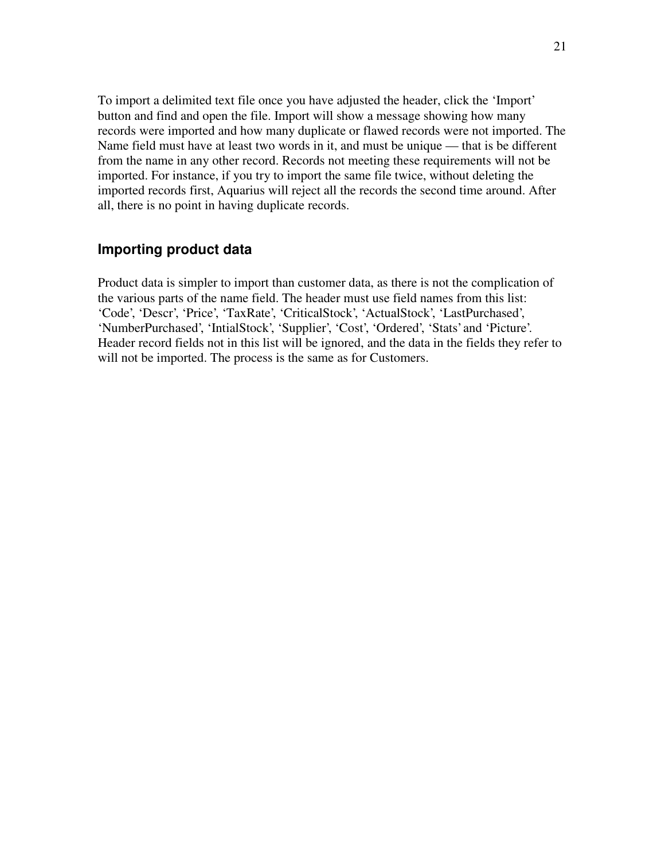To import a delimited text file once you have adjusted the header, click the 'Import' button and find and open the file. Import will show a message showing how many records were imported and how many duplicate or flawed records were not imported. The Name field must have at least two words in it, and must be unique — that is be different from the name in any other record. Records not meeting these requirements will not be imported. For instance, if you try to import the same file twice, without deleting the imported records first, Aquarius will reject all the records the second time around. After all, there is no point in having duplicate records.

### **Importing product data**

Product data is simpler to import than customer data, as there is not the complication of the various parts of the name field. The header must use field names from this list: 'Code', 'Descr', 'Price', 'TaxRate', 'CriticalStock', 'ActualStock', 'LastPurchased', 'NumberPurchased', 'IntialStock', 'Supplier', 'Cost', 'Ordered', 'Stats' and 'Picture'. Header record fields not in this list will be ignored, and the data in the fields they refer to will not be imported. The process is the same as for Customers.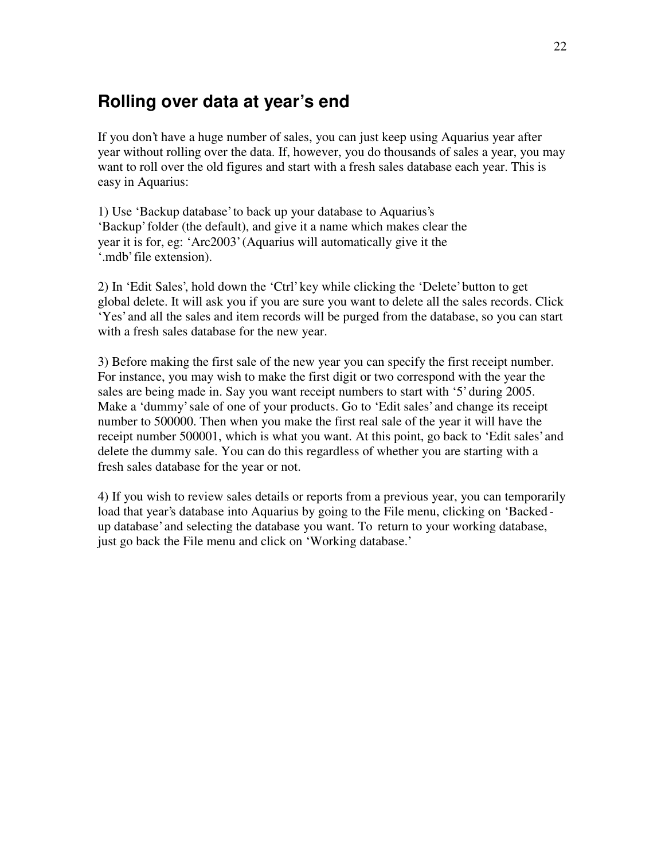### <span id="page-21-0"></span>**Rolling over data at year's end**

If you don't have a huge number of sales, you can just keep using Aquarius year after year without rolling over the data. If, however, you do thousands of sales a year, you may want to roll over the old figures and start with a fresh sales database each year. This is easy in Aquarius:

1) Use 'Backup database' to back up your database to Aquarius's 'Backup' folder (the default), and give it a name which makes clear the year it is for, eg: 'Arc2003' (Aquarius will automatically give it the '.mdb' file extension).

2) In 'Edit Sales', hold down the 'Ctrl' key while clicking the 'Delete' button to get global delete. It will ask you if you are sure you want to delete all the sales records. Click 'Yes' and all the sales and item records will be purged from the database, so you can start with a fresh sales database for the new year.

3) Before making the first sale of the new year you can specify the first receipt number. For instance, you may wish to make the first digit or two correspond with the year the sales are being made in. Say you want receipt numbers to start with '5' during 2005. Make a 'dummy' sale of one of your products. Go to 'Edit sales' and change its receipt number to 500000. Then when you make the first real sale of the year it will have the receipt number 500001, which is what you want. At this point, go back to 'Edit sales' and delete the dummy sale. You can do this regardless of whether you are starting with a fresh sales database for the year or not.

4) If you wish to review sales details or reports from a previous year, you can temporarily load that year's database into Aquarius by going to the File menu, clicking on 'Backed up database' and selecting the database you want. To return to your working database, just go back the File menu and click on 'Working database.'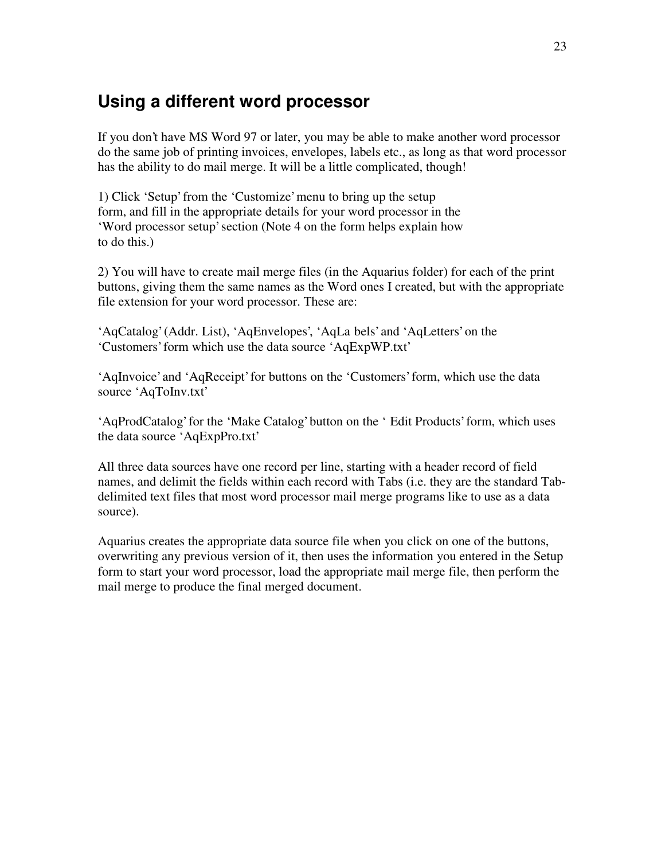### <span id="page-22-0"></span>**Using a different word processor**

If you don't have MS Word 97 or later, you may be able to make another word processor do the same job of printing invoices, envelopes, labels etc., as long as that word processor has the ability to do mail merge. It will be a little complicated, though!

1) Click 'Setup' from the 'Customize' menu to bring up the setup form, and fill in the appropriate details for your word processor in the 'Word processor setup' section (Note 4 on the form helps explain how to do this.)

2) You will have to create mail merge files (in the Aquarius folder) for each of the print buttons, giving them the same names as the Word ones I created, but with the appropriate file extension for your word processor. These are:

'AqCatalog' (Addr. List), 'AqEnvelopes', 'AqLa bels' and 'AqLetters' on the 'Customers' form which use the data source 'AqExpWP.txt'

'AqInvoice' and 'AqReceipt' for buttons on the 'Customers' form, which use the data source 'AqToInv.txt'

'AqProdCatalog' for the 'Make Catalog' button on the ' Edit Products' form, which uses the data source 'AqExpPro.txt'

All three data sources have one record per line, starting with a header record of field names, and delimit the fields within each record with Tabs (i.e. they are the standard Tabdelimited text files that most word processor mail merge programs like to use as a data source).

Aquarius creates the appropriate data source file when you click on one of the buttons, overwriting any previous version of it, then uses the information you entered in the Setup form to start your word processor, load the appropriate mail merge file, then perform the mail merge to produce the final merged document.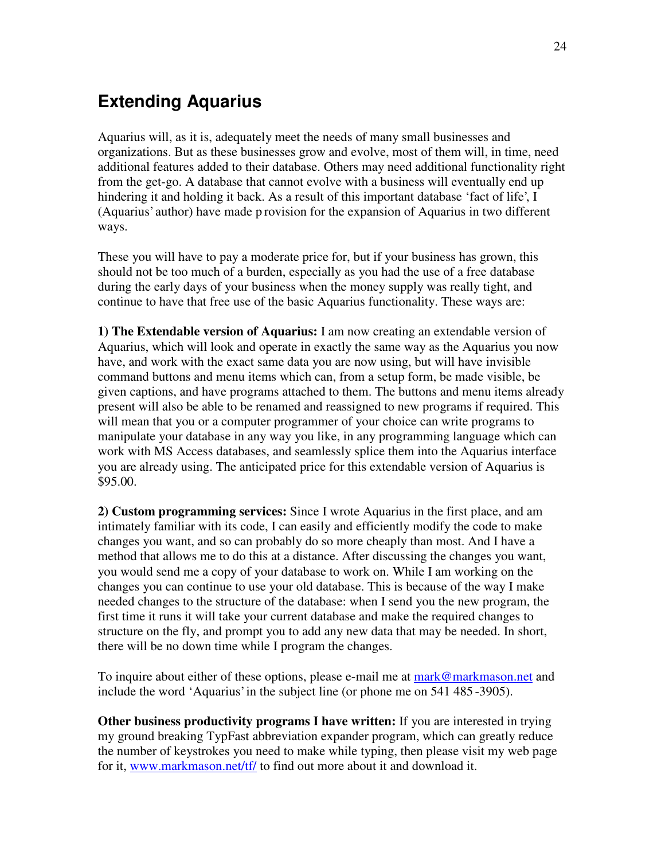## <span id="page-23-0"></span>**Extending Aquarius**

Aquarius will, as it is, adequately meet the needs of many small businesses and organizations. But as these businesses grow and evolve, most of them will, in time, need additional features added to their database. Others may need additional functionality right from the get-go. A database that cannot evolve with a business will eventually end up hindering it and holding it back. As a result of this important database 'fact of life', I (Aquarius' author) have made p rovision for the expansion of Aquarius in two different ways.

These you will have to pay a moderate price for, but if your business has grown, this should not be too much of a burden, especially as you had the use of a free database during the early days of your business when the money supply was really tight, and continue to have that free use of the basic Aquarius functionality. These ways are:

**1) The Extendable version of Aquarius:** I am now creating an extendable version of Aquarius, which will look and operate in exactly the same way as the Aquarius you now have, and work with the exact same data you are now using, but will have invisible command buttons and menu items which can, from a setup form, be made visible, be given captions, and have programs attached to them. The buttons and menu items already present will also be able to be renamed and reassigned to new programs if required. This will mean that you or a computer programmer of your choice can write programs to manipulate your database in any way you like, in any programming language which can work with MS Access databases, and seamlessly splice them into the Aquarius interface you are already using. The anticipated price for this extendable version of Aquarius is \$95.00.

**2) Custom programming services:** Since I wrote Aquarius in the first place, and am intimately familiar with its code, I can easily and efficiently modify the code to make changes you want, and so can probably do so more cheaply than most. And I have a method that allows me to do this at a distance. After discussing the changes you want, you would send me a copy of your database to work on. While I am working on the changes you can continue to use your old database. This is because of the way I make needed changes to the structure of the database: when I send you the new program, the first time it runs it will take your current database and make the required changes to structure on the fly, and prompt you to add any new data that may be needed. In short, there will be no down time while I program the changes.

To inquire about either of these options, please e-mail me at [mark@markmason.net](mailto:mark@markmason.net) and include the word 'Aquarius' in the subject line (or phone me on 541 485 -3905).

**Other business productivity programs I have written:** If you are interested in trying my ground breaking TypFast abbreviation expander program, which can greatly reduce the number of keystrokes you need to make while typing, then please visit my web page for it, [www.markmason.net/tf/](http://www.markmason.net/tf/) to find out more about it and download it.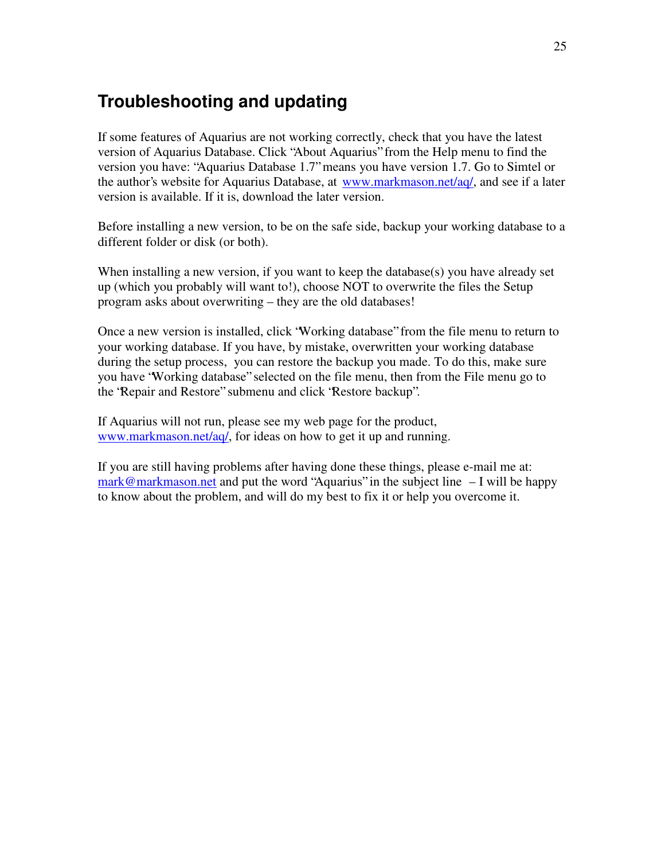## <span id="page-24-0"></span>**Troubleshooting and updating**

If some features of Aquarius are not working correctly, check that you have the latest version of Aquarius Database. Click "About Aquarius" from the Help menu to find the version you have: "Aquarius Database 1.7" means you have version 1.7. Go to Simtel or the author's website for Aquarius Database, at [www.markmason.net/aq/](http://www.markmason.net/aq/), and see if a later version is available. If it is, download the later version.

Before installing a new version, to be on the safe side, backup your working database to a different folder or disk (or both).

When installing a new version, if you want to keep the database(s) you have already set up (which you probably will want to!), choose NOT to overwrite the files the Setup program asks about overwriting – they are the old databases!

Once a new version is installed, click "Working database" from the file menu to return to your working database. If you have, by mistake, overwritten your working database during the setup process, you can restore the backup you made. To do this, make sure you have "Working database" selected on the file menu, then from the File menu go to the "Repair and Restore" submenu and click "Restore backup".

If Aquarius will not run, please see my web page for the product, [www.markmason.net/aq/](http://www.markmason.net/aq/), for ideas on how to get it up and running.

If you are still having problems after having done these things, please e-mail me at: [mark@markmason.net](mailto:mark@markmason.net) and put the word "Aquarius" in the subject line  $-I$  will be happy to know about the problem, and will do my best to fix it or help you overcome it.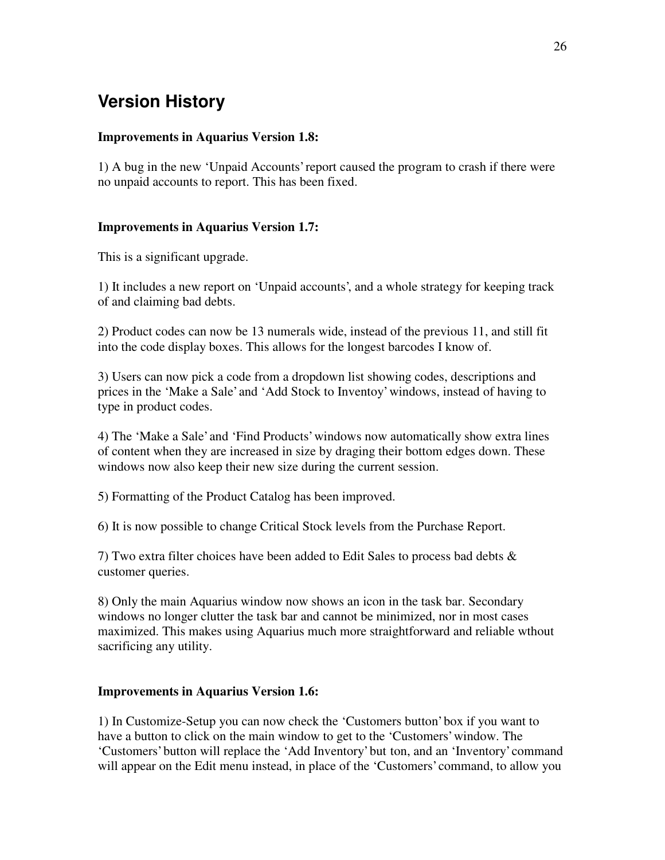# <span id="page-25-0"></span>**Version History**

#### **Improvements in Aquarius Version 1.8:**

1) A bug in the new 'Unpaid Accounts' report caused the program to crash if there were no unpaid accounts to report. This has been fixed.

#### **Improvements in Aquarius Version 1.7:**

This is a significant upgrade.

1) It includes a new report on 'Unpaid accounts', and a whole strategy for keeping track of and claiming bad debts.

2) Product codes can now be 13 numerals wide, instead of the previous 11, and still fit into the code display boxes. This allows for the longest barcodes I know of.

3) Users can now pick a code from a dropdown list showing codes, descriptions and prices in the 'Make a Sale' and 'Add Stock to Inventoy' windows, instead of having to type in product codes.

4) The 'Make a Sale' and 'Find Products' windows now automatically show extra lines of content when they are increased in size by draging their bottom edges down. These windows now also keep their new size during the current session.

5) Formatting of the Product Catalog has been improved.

6) It is now possible to change Critical Stock levels from the Purchase Report.

7) Two extra filter choices have been added to Edit Sales to process bad debts  $\&$ customer queries.

8) Only the main Aquarius window now shows an icon in the task bar. Secondary windows no longer clutter the task bar and cannot be minimized, nor in most cases maximized. This makes using Aquarius much more straightforward and reliable wthout sacrificing any utility.

#### **Improvements in Aquarius Version 1.6:**

1) In Customize-Setup you can now check the 'Customers button' box if you want to have a button to click on the main window to get to the 'Customers' window. The 'Customers' button will replace the 'Add Inventory' but ton, and an 'Inventory' command will appear on the Edit menu instead, in place of the 'Customers' command, to allow you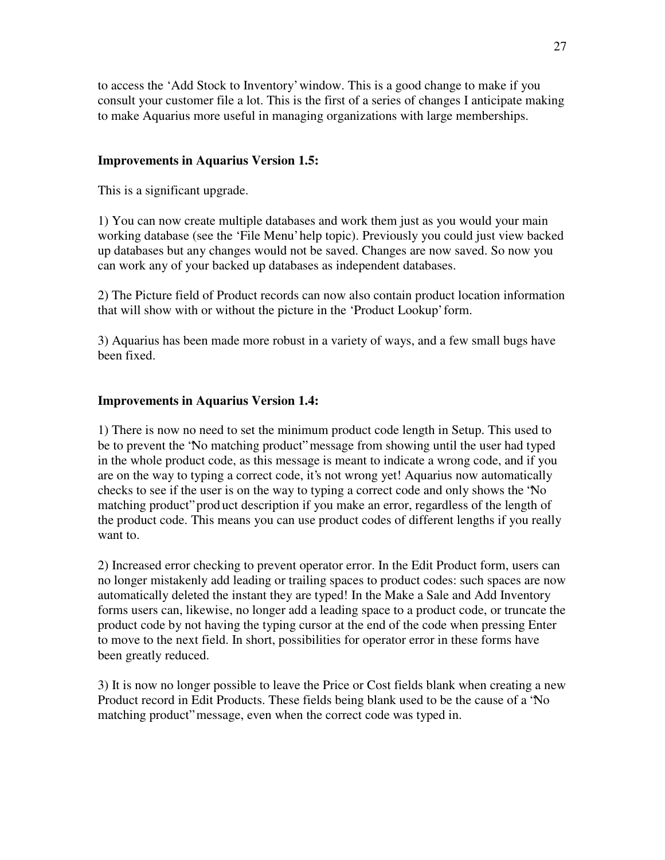to access the 'Add Stock to Inventory' window. This is a good change to make if you consult your customer file a lot. This is the first of a series of changes I anticipate making to make Aquarius more useful in managing organizations with large memberships.

#### **Improvements in Aquarius Version 1.5:**

This is a significant upgrade.

1) You can now create multiple databases and work them just as you would your main working database (see the 'File Menu' help topic). Previously you could just view backed up databases but any changes would not be saved. Changes are now saved. So now you can work any of your backed up databases as independent databases.

2) The Picture field of Product records can now also contain product location information that will show with or without the picture in the 'Product Lookup' form.

3) Aquarius has been made more robust in a variety of ways, and a few small bugs have been fixed.

#### **Improvements in Aquarius Version 1.4:**

1) There is now no need to set the minimum product code length in Setup. This used to be to prevent the "No matching product" message from showing until the user had typed in the whole product code, as this message is meant to indicate a wrong code, and if you are on the way to typing a correct code, it's not wrong yet! Aquarius now automatically checks to see if the user is on the way to typing a correct code and only shows the "No matching product" prod uct description if you make an error, regardless of the length of the product code. This means you can use product codes of different lengths if you really want to.

2) Increased error checking to prevent operator error. In the Edit Product form, users can no longer mistakenly add leading or trailing spaces to product codes: such spaces are now automatically deleted the instant they are typed! In the Make a Sale and Add Inventory forms users can, likewise, no longer add a leading space to a product code, or truncate the product code by not having the typing cursor at the end of the code when pressing Enter to move to the next field. In short, possibilities for operator error in these forms have been greatly reduced.

3) It is now no longer possible to leave the Price or Cost fields blank when creating a new Product record in Edit Products. These fields being blank used to be the cause of a "No matching product" message, even when the correct code was typed in.